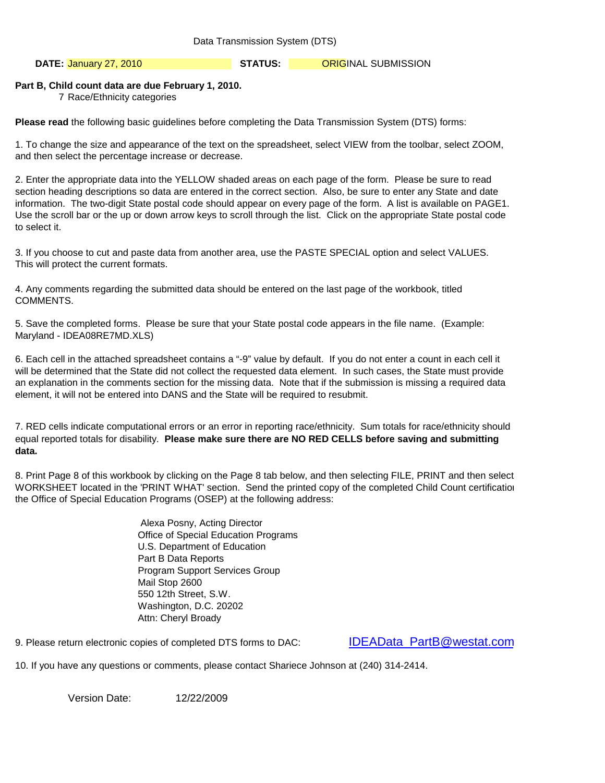Data Transmission System (DTS)

**DATE: STATUS:** ORIGINAL SUBMISSION January 27, 2010

# **Part B, Child count data are due February 1, 2010.**

7 Race/Ethnicity categories

**Please read** the following basic guidelines before completing the Data Transmission System (DTS) forms:

1. To change the size and appearance of the text on the spreadsheet, select VIEW from the toolbar, select ZOOM, and then select the percentage increase or decrease.

2. Enter the appropriate data into the YELLOW shaded areas on each page of the form. Please be sure to read section heading descriptions so data are entered in the correct section. Also, be sure to enter any State and date information. The two-digit State postal code should appear on every page of the form. A list is available on PAGE1. Use the scroll bar or the up or down arrow keys to scroll through the list. Click on the appropriate State postal code to select it.

3. If you choose to cut and paste data from another area, use the PASTE SPECIAL option and select VALUES. This will protect the current formats.

4. Any comments regarding the submitted data should be entered on the last page of the workbook, titled COMMENTS.

5. Save the completed forms. Please be sure that your State postal code appears in the file name. (Example: Maryland - IDEA08RE7MD.XLS)

6. Each cell in the attached spreadsheet contains a "-9" value by default. If you do not enter a count in each cell it will be determined that the State did not collect the requested data element. In such cases, the State must provide an explanation in the comments section for the missing data. Note that if the submission is missing a required data element, it will not be entered into DANS and the State will be required to resubmit.

7. RED cells indicate computational errors or an error in reporting race/ethnicity. Sum totals for race/ethnicity should equal reported totals for disability. **Please make sure there are NO RED CELLS before saving and submitting data.** 

8. Print Page 8 of this workbook by clicking on the Page 8 tab below, and then selecting FILE, PRINT and then select WORKSHEET located in the 'PRINT WHAT' section. Send the printed copy of the completed Child Count certification the Office of Special Education Programs (OSEP) at the following address:

> Alexa Posny, Acting Director Office of Special Education Programs U.S. Department of Education Part B Data Reports Program Support Services Group Mail Stop 2600 550 12th Street, S.W. Washington, D.C. 20202 Attn: Cheryl Broady

9. Please return electronic copies of completed DTS forms to DAC:

[IDEAData\\_PartB@westat.com](mailto:IDEAData_PartB@westat.com)

10. If you have any questions or comments, please contact Shariece Johnson at (240) 314-2414.

Version Date: 12/22/2009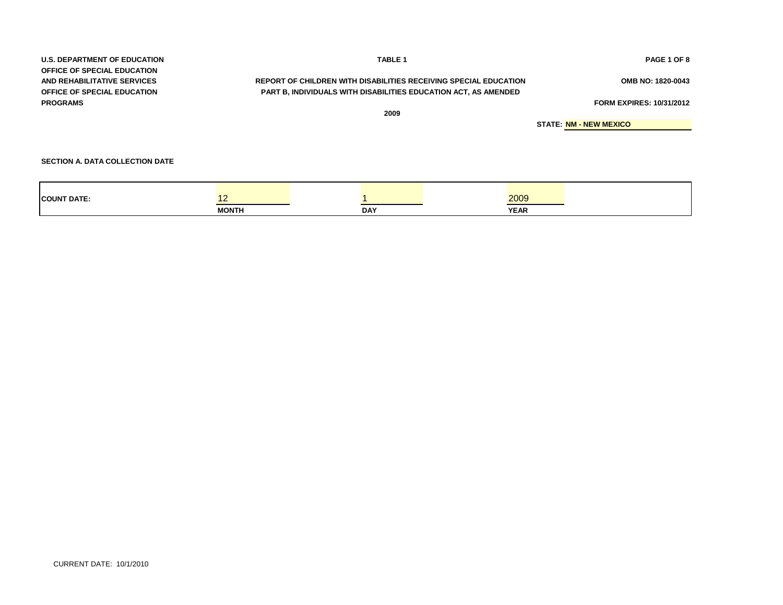| <b>U.S. DEPARTMENT OF EDUCATION</b> | <b>TABLE 1</b>                                                   | PAGE 1 OF 8                     |
|-------------------------------------|------------------------------------------------------------------|---------------------------------|
| <b>OFFICE OF SPECIAL EDUCATION</b>  |                                                                  |                                 |
| AND REHABILITATIVE SERVICES         | REPORT OF CHILDREN WITH DISABILITIES RECEIVING SPECIAL EDUCATION | OMB NO: 1820-0043               |
| <b>OFFICE OF SPECIAL EDUCATION</b>  | PART B, INDIVIDUALS WITH DISABILITIES EDUCATION ACT, AS AMENDED  |                                 |
| <b>PROGRAMS</b>                     |                                                                  | <b>FORM EXPIRES: 10/31/2012</b> |
|                                     | 2009                                                             |                                 |
|                                     |                                                                  | <b>STATE: NM - NEW MEXICO</b>   |
|                                     |                                                                  |                                 |
|                                     |                                                                  |                                 |

**SECTION A. DATA COLLECTION DATE**

| <b>COUNT DATE:</b> |              |            | 2009        |
|--------------------|--------------|------------|-------------|
|                    | <b>MONTH</b> | <b>DAY</b> | <b>YEAR</b> |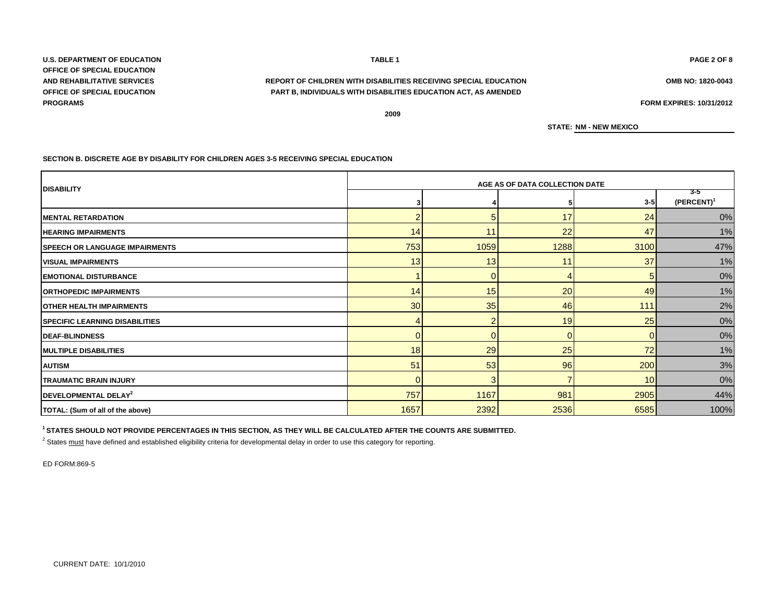**U.S. DEPARTMENT OF EDUCATION TABLE 1 PAGE 2 OF 8 OFFICE OF SPECIAL EDUCATION OFFICE OF SPECIAL EDUCATION PROGRAMS FORM EXPIRES: 10/31/2012**

# **AND REHABILITATIVE SERVICES OMB NO: 1820-0043 REPORT OF CHILDREN WITH DISABILITIES RECEIVING SPECIAL EDUCATION PART B, INDIVIDUALS WITH DISABILITIES EDUCATION ACT, AS AMENDED**

**2009**

**STATE: NM - NEW MEXICO**

#### **SECTION B. DISCRETE AGE BY DISABILITY FOR CHILDREN AGES 3-5 RECEIVING SPECIAL EDUCATION**

|                                       | AGE AS OF DATA COLLECTION DATE |      |          |                 |                       |  |  |  |  |
|---------------------------------------|--------------------------------|------|----------|-----------------|-----------------------|--|--|--|--|
| <b>DISABILITY</b>                     |                                |      | 5        | $3 - 5$         | -3-5<br>$(PERCENT)^1$ |  |  |  |  |
| <b>IMENTAL RETARDATION</b>            | 2                              |      | 17       | 24              | 0%                    |  |  |  |  |
| <b>HEARING IMPAIRMENTS</b>            | 14                             | 11   | 22       | 47              | 1%                    |  |  |  |  |
| <b>SPEECH OR LANGUAGE IMPAIRMENTS</b> | 753                            | 1059 | 1288     | 3100            | 47%                   |  |  |  |  |
| <b>VISUAL IMPAIRMENTS</b>             | 13                             | 13   | 11       | 37              | 1%                    |  |  |  |  |
| <b>EMOTIONAL DISTURBANCE</b>          |                                |      |          | 5               | 0%                    |  |  |  |  |
| <b>ORTHOPEDIC IMPAIRMENTS</b>         | 14                             | 15   | 20       | 49              | 1%                    |  |  |  |  |
| <b>OTHER HEALTH IMPAIRMENTS</b>       | 30                             | 35   | 46       | 111             | 2%                    |  |  |  |  |
| <b>SPECIFIC LEARNING DISABILITIES</b> |                                |      | 19       | 25              | 0%                    |  |  |  |  |
| <b>DEAF-BLINDNESS</b>                 | $\Omega$                       |      | $\Omega$ | $\Omega$        | 0%                    |  |  |  |  |
| <b>MULTIPLE DISABILITIES</b>          | 18                             | 29   | 25       | 72              | 1%                    |  |  |  |  |
| <b>AUTISM</b>                         | 51                             | 53   | 96       | 200             | 3%                    |  |  |  |  |
| <b>TRAUMATIC BRAIN INJURY</b>         | $\Omega$                       |      |          | 10 <sup>1</sup> | 0%                    |  |  |  |  |
| DEVELOPMENTAL DELAY <sup>2</sup>      | 757                            | 1167 | 981      | 2905            | 44%                   |  |  |  |  |
| TOTAL: (Sum of all of the above)      | 1657                           | 2392 | 2536     | 6585            | 100%                  |  |  |  |  |

**1 STATES SHOULD NOT PROVIDE PERCENTAGES IN THIS SECTION, AS THEY WILL BE CALCULATED AFTER THE COUNTS ARE SUBMITTED.**

<sup>2</sup> States <u>must</u> have defined and established eligibility criteria for developmental delay in order to use this category for reporting.

ED FORM:869-5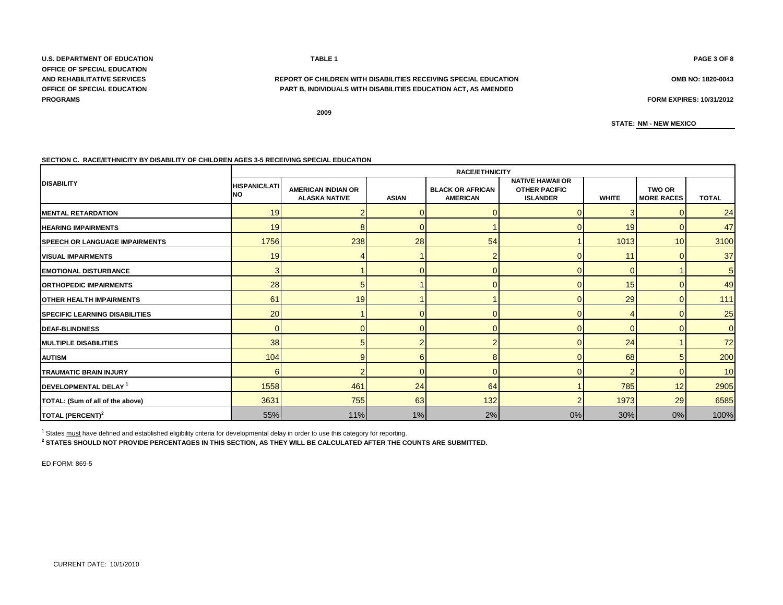**U.S. DEPARTMENT OF EDUCATION TABLE 1 PAGE 3 OF 8 OFFICE OF SPECIAL EDUCATION PROGRAMS FORM EXPIRES: 10/31/2012**

### **AND REHABILITATIVE SERVICES REPORT OF CHILDREN WITH DISABILITIES RECEIVING SPECIAL EDUCATION OMB NO: 1820-0043 OFFICE OF SPECIAL EDUCATION PART B, INDIVIDUALS WITH DISABILITIES EDUCATION ACT, AS AMENDED**

**2009**

**STATE: NM - NEW MEXICO**

#### **SECTION C. RACE/ETHNICITY BY DISABILITY OF CHILDREN AGES 3-5 RECEIVING SPECIAL EDUCATION**

|                                        | <b>RACE/ETHNICITY</b>             |                                                   |              |                                            |                                                                    |              |                                    |                |  |  |  |
|----------------------------------------|-----------------------------------|---------------------------------------------------|--------------|--------------------------------------------|--------------------------------------------------------------------|--------------|------------------------------------|----------------|--|--|--|
| <b>DISABILITY</b>                      | <b>HISPANIC/LATI</b><br><b>NO</b> | <b>AMERICAN INDIAN OR</b><br><b>ALASKA NATIVE</b> | <b>ASIAN</b> | <b>BLACK OR AFRICAN</b><br><b>AMERICAN</b> | <b>NATIVE HAWAII OR</b><br><b>OTHER PACIFIC</b><br><b>ISLANDER</b> | <b>WHITE</b> | <b>TWO OR</b><br><b>MORE RACES</b> | <b>TOTAL</b>   |  |  |  |
| <b>IMENTAL RETARDATION</b>             | 19                                |                                                   |              |                                            |                                                                    |              |                                    | 24             |  |  |  |
| <b>HEARING IMPAIRMENTS</b>             | 19                                | 8                                                 |              |                                            |                                                                    | 19           |                                    | 47             |  |  |  |
| <b>SPEECH OR LANGUAGE IMPAIRMENTS</b>  | 1756                              | 238                                               | 28           | 54                                         |                                                                    | 1013         | 10                                 | 3100           |  |  |  |
| <b>VISUAL IMPAIRMENTS</b>              | 19                                |                                                   |              |                                            |                                                                    | 11           |                                    | 37             |  |  |  |
| <b>EMOTIONAL DISTURBANCE</b>           | 3                                 |                                                   |              |                                            |                                                                    |              |                                    | 5              |  |  |  |
| <b>ORTHOPEDIC IMPAIRMENTS</b>          | 28                                | 5                                                 |              |                                            |                                                                    | 15           |                                    | 49             |  |  |  |
| <b>OTHER HEALTH IMPAIRMENTS</b>        | 61                                | 19                                                |              |                                            |                                                                    | 29           |                                    | $111$          |  |  |  |
| <b>ISPECIFIC LEARNING DISABILITIES</b> | 20 <sup>1</sup>                   |                                                   |              |                                            |                                                                    |              |                                    | 25             |  |  |  |
| <b>DEAF-BLINDNESS</b>                  | $\Omega$                          |                                                   |              |                                            |                                                                    |              |                                    | $\overline{0}$ |  |  |  |
| <b>MULTIPLE DISABILITIES</b>           | 38                                |                                                   |              |                                            |                                                                    | 24           |                                    | 72             |  |  |  |
| <b>AUTISM</b>                          | 104                               | 9                                                 | 6            |                                            |                                                                    | 68           |                                    | 200            |  |  |  |
| <b>TRAUMATIC BRAIN INJURY</b>          | 6                                 |                                                   | U            |                                            |                                                                    |              |                                    | 10             |  |  |  |
| DEVELOPMENTAL DELAY <sup>1</sup>       | 1558                              | 461                                               | 24           | 64                                         |                                                                    | 785          | 12                                 | 2905           |  |  |  |
| TOTAL: (Sum of all of the above)       | 3631                              | 755                                               | 63           | 132                                        |                                                                    | 1973         | 29                                 | 6585           |  |  |  |
| TOTAL (PERCENT) <sup>2</sup>           | 55%                               | 11%                                               | 1%           | 2%                                         | 0%                                                                 | 30%          | 0%                                 | 100%           |  |  |  |

<sup>1</sup> States must have defined and established eligibility criteria for developmental delay in order to use this category for reporting.

**2 STATES SHOULD NOT PROVIDE PERCENTAGES IN THIS SECTION, AS THEY WILL BE CALCULATED AFTER THE COUNTS ARE SUBMITTED.**

ED FORM: 869-5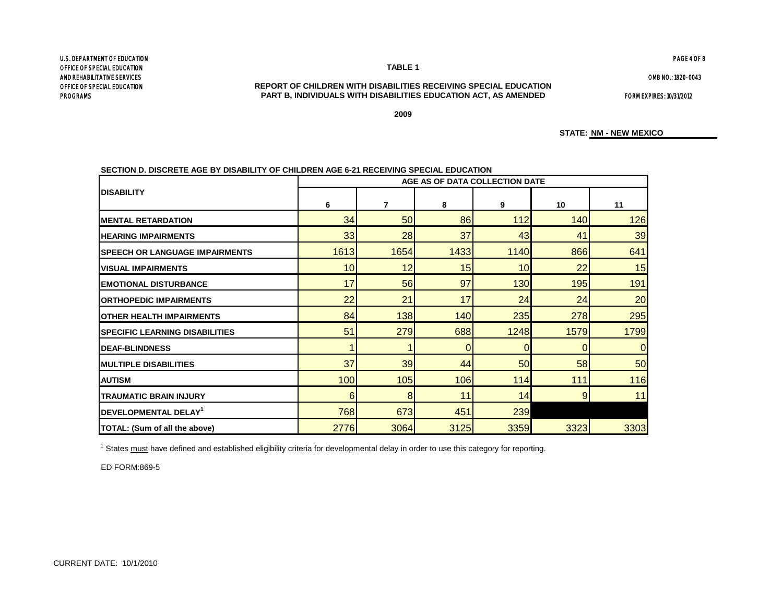#### CURRENT DATE: 10/1/2010

PROGRAMS

#### **PART B, INDIVIDUALS WITH DISABILITIES EDUCATION ACT, AS AMENDED** FORM EXPIRES: 10/31/2012 **REPORT OF CHILDREN WITH DISABILITIES RECEIVING SPECIAL EDUCATION**

**TABLE 1**

**2009**

**STATE: NM - NEW MEXICO**

|                                         | AGE AS OF DATA COLLECTION DATE |                |      |      |      |                 |  |  |  |
|-----------------------------------------|--------------------------------|----------------|------|------|------|-----------------|--|--|--|
| <b>DISABILITY</b>                       | 6                              | $\overline{7}$ | 8    | 9    | 10   | 11              |  |  |  |
| <b>IMENTAL RETARDATION</b>              | 34                             | 50             | 86   | 112  | 140  | 126             |  |  |  |
| <b>HEARING IMPAIRMENTS</b>              | 33                             | 28             | 37   | 43   | 41   | 39              |  |  |  |
| ISPEECH OR LANGUAGE IMPAIRMENTS         | 1613                           | 1654           | 1433 | 1140 | 866  | 641             |  |  |  |
| <b>VISUAL IMPAIRMENTS</b>               | 10 <sub>l</sub>                | 12             | 15   | 10   | 22   | 15              |  |  |  |
| <b>EMOTIONAL DISTURBANCE</b>            | 17                             | 56             | 97   | 130  | 195  | 191             |  |  |  |
| <b>ORTHOPEDIC IMPAIRMENTS</b>           | 22                             | 21             | 17   | 24   | 24   | 20 <sub>l</sub> |  |  |  |
| <b>IOTHER HEALTH IMPAIRMENTS</b>        | 84                             | 138            | 140  | 235  | 278  | 295             |  |  |  |
| <b>ISPECIFIC LEARNING DISABILITIES</b>  | 51                             | 279            | 688  | 1248 | 1579 | 1799            |  |  |  |
| <b>DEAF-BLINDNESS</b>                   |                                |                | 0    | 0    | 0    |                 |  |  |  |
| <b>IMULTIPLE DISABILITIES</b>           | 37                             | 39             | 44   | 50   | 58   | 50              |  |  |  |
| <b>AUTISM</b>                           | 100                            | 105            | 106  | 114  | 111  | 116             |  |  |  |
| <b>TRAUMATIC BRAIN INJURY</b>           | 6                              | 8              | 11   | 14   | 9    | 11              |  |  |  |
| <b>IDEVELOPMENTAL DELAY<sup>1</sup></b> | 768                            | 673            | 451  | 239  |      |                 |  |  |  |
|                                         |                                |                |      |      |      |                 |  |  |  |

2776**| 3064| 3125| 3359| 3323| 3303** 

**SECTION D. DISCRETE AGE BY DISABILITY OF CHILDREN AGE 6-21 RECEIVING SPECIAL EDUCATION** 

<sup>1</sup> States must have defined and established eligibility criteria for developmental delay in order to use this category for reporting.

ED FORM:869-5

**TOTAL: (Sum of all the above)**

U.S. DEPARTMENT OF EDUCATION OFFICE OF SPECIAL EDUCATION AND REHABILITATIVE SERVICES OFFICE OF SPECIAL EDUCATION

OMB NO.: 1820-0043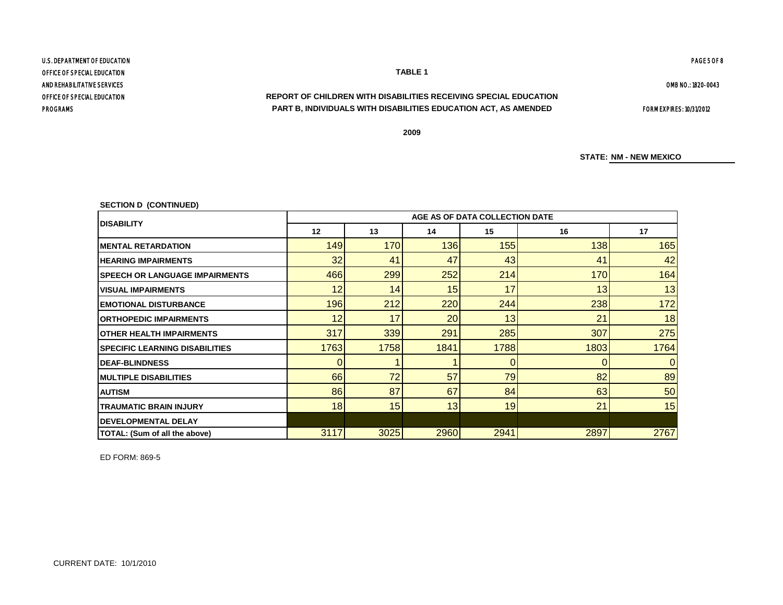OFFICE OF SPECIAL EDUCATION U.S. DEPARTMENT OF EDUCATION PAGE 5 OF 8 OFFICE OF SPECIAL EDUCATION **TABLE 1** AND REHABILITATIVE SERVICES

# **REPORT OF CHILDREN WITH DISABILITIES RECEIVING SPECIAL EDUCATION** PROGRAMS FORM EXPIRES: 10/31/2012 **PART B, INDIVIDUALS WITH DISABILITIES EDUCATION ACT, AS AMENDED**

**2009**

**STATE: NM - NEW MEXICO**

**SECTION D (CONTINUED)**

| <b>IDISABILITY</b>                     |      | AGE AS OF DATA COLLECTION DATE |      |      |      |      |  |  |  |  |  |
|----------------------------------------|------|--------------------------------|------|------|------|------|--|--|--|--|--|
|                                        | 12   | 13                             | 14   | 15   | 16   | 17   |  |  |  |  |  |
| <b>IMENTAL RETARDATION</b>             | 149  | 170                            | 136  | 155  | 138  | 165  |  |  |  |  |  |
| <b>HEARING IMPAIRMENTS</b>             | 32   | 41                             | 47   | 43   | 41   | 42   |  |  |  |  |  |
| <b>ISPEECH OR LANGUAGE IMPAIRMENTS</b> | 466  | 299                            | 252  | 214  | 170  | 164  |  |  |  |  |  |
| <b>IVISUAL IMPAIRMENTS</b>             | 12   | 14                             | 15   | 17   | 13   | 13   |  |  |  |  |  |
| <b>IEMOTIONAL DISTURBANCE</b>          | 196  | 212                            | 220  | 244  | 238  | 172  |  |  |  |  |  |
| <b>IORTHOPEDIC IMPAIRMENTS</b>         | 12   | 17                             | 20   | 13   | 21   | 18   |  |  |  |  |  |
| <b>IOTHER HEALTH IMPAIRMENTS</b>       | 317  | 339                            | 291  | 285  | 307  | 275  |  |  |  |  |  |
| <b>ISPECIFIC LEARNING DISABILITIES</b> | 1763 | 1758                           | 1841 | 1788 | 1803 | 1764 |  |  |  |  |  |
| <b>IDEAF-BLINDNESS</b>                 |      |                                |      | 0    |      |      |  |  |  |  |  |
| <b>IMULTIPLE DISABILITIES</b>          | 66   | 72                             | 57   | 79   | 82   | 89   |  |  |  |  |  |
| <b>AUTISM</b>                          | 86   | 87                             | 67   | 84   | 63   | 50   |  |  |  |  |  |
| <b>TRAUMATIC BRAIN INJURY</b>          | 18   | 15                             | 13   | 19   | 21   | 15   |  |  |  |  |  |
| <b>IDEVELOPMENTAL DELAY</b>            |      |                                |      |      |      |      |  |  |  |  |  |
| TOTAL: (Sum of all the above)          | 3117 | 3025                           | 2960 | 2941 | 2897 | 2767 |  |  |  |  |  |

ED FORM: 869-5

OMB NO.: 1820-0043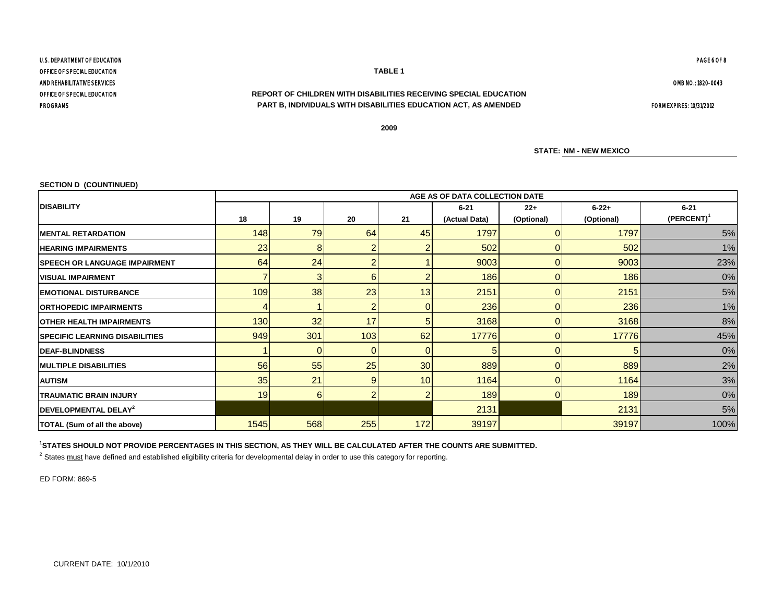# OFFICE OF SPECIAL EDUCATION **REPORT OF CHILDREN WITH DISABILITIES RECEIVING SPECIAL EDUCATION PROGRAMS PART B, INDIVIDUALS WITH DISABILITIES EDUCATION ACT, AS AMENDED FORM EXPIRES: 10/31/2012**

**2009**

**STATE: NM - NEW MEXICO**

#### **SECTION D (COUNTINUED)**

|                                       | AGE AS OF DATA COLLECTION DATE               |          |                |     |                           |                     |                          |                             |  |  |  |
|---------------------------------------|----------------------------------------------|----------|----------------|-----|---------------------------|---------------------|--------------------------|-----------------------------|--|--|--|
| <b>DISABILITY</b>                     | 18                                           | 19       | 20             | 21  | $6 - 21$<br>(Actual Data) | $22+$<br>(Optional) | $6 - 22 +$<br>(Optional) | $6 - 21$<br>$(PERCENT)^{1}$ |  |  |  |
| <b>IMENTAL RETARDATION</b>            | 1797<br>148<br><b>79</b><br>64<br>1797<br>45 |          | 5%             |     |                           |                     |                          |                             |  |  |  |
| <b>HEARING IMPAIRMENTS</b>            | 23                                           | 8        |                |     | 502                       |                     | 502                      | 1%                          |  |  |  |
| <b>SPEECH OR LANGUAGE IMPAIRMENT</b>  | 64                                           | 24       | $\overline{2}$ |     | 9003                      |                     | 9003                     | 23%                         |  |  |  |
| <b>VISUAL IMPAIRMENT</b>              |                                              | 3        | 6              |     | 186                       |                     | 186                      | 0%                          |  |  |  |
| <b>EMOTIONAL DISTURBANCE</b>          | 109                                          | 38       | 23             | 13  | 2151                      |                     | 2151                     | 5%                          |  |  |  |
| <b>ORTHOPEDIC IMPAIRMENTS</b>         |                                              |          | 2              |     | 236                       |                     | 236                      | 1%                          |  |  |  |
| IOTHER HEALTH IMPAIRMENTS             | 130                                          | 32       | 17             |     | 3168                      |                     | 3168                     | 8%                          |  |  |  |
| <b>SPECIFIC LEARNING DISABILITIES</b> | 949                                          | 301      | 103            | 62  | 17776                     |                     | 17776                    | 45%                         |  |  |  |
| <b>IDEAF-BLINDNESS</b>                |                                              | 0        | $\Omega$       |     |                           |                     | 5                        | 0%                          |  |  |  |
| <b>MULTIPLE DISABILITIES</b>          | 56                                           | 55       | 25             | 30  | 889                       |                     | 889                      | 2%                          |  |  |  |
| <b>AUTISM</b>                         | 35                                           | 21       | 9 <sub>l</sub> | 10  | 1164                      |                     | 1164                     | 3%                          |  |  |  |
| <b>TRAUMATIC BRAIN INJURY</b>         | 19                                           | $6 \mid$ | $\overline{2}$ |     | 189                       | $\Omega$            | 189                      | 0%                          |  |  |  |
| DEVELOPMENTAL DELAY <sup>2</sup>      |                                              |          |                |     | 2131                      |                     | 2131                     | 5%                          |  |  |  |
| <b>TOTAL (Sum of all the above)</b>   | 1545                                         | 568      | 255            | 172 | 39197                     |                     | 39197                    | 100%                        |  |  |  |

# **1 STATES SHOULD NOT PROVIDE PERCENTAGES IN THIS SECTION, AS THEY WILL BE CALCULATED AFTER THE COUNTS ARE SUBMITTED.**

<sup>2</sup> States must have defined and established eligibility criteria for developmental delay in order to use this category for reporting.

ED FORM: 869-5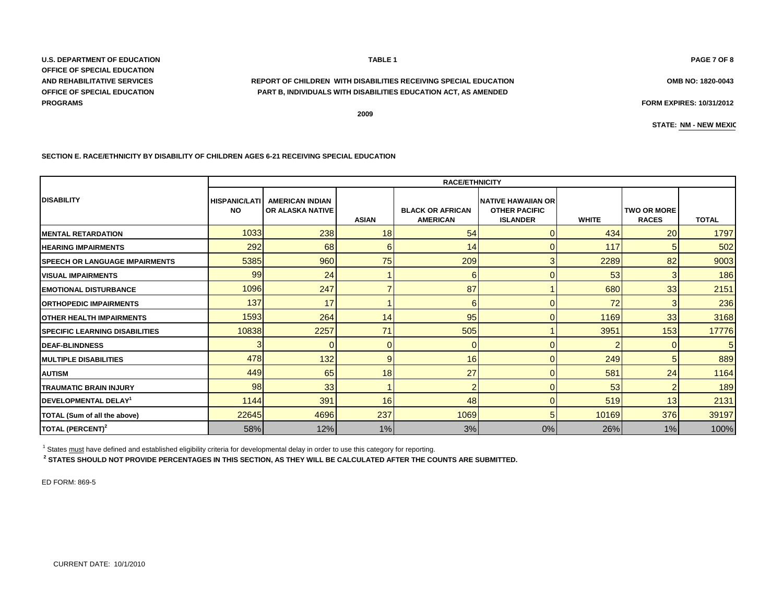CURRENT DATE: 10/1/2010

**U.S. DEPARTMENT OF EDUCATION PAGE 7 OF 8 OFFICE OF SPECIAL EDUCATION AND REHABILITATIVE SERVICES OMB NO: 1820-0043 REPORT OF CHILDREN WITH DISABILITIES RECEIVING SPECIAL EDUCATION OFFICE OF SPECIAL EDUCATION PROGRAMS FORM EXPIRES: 10/31/2012**

#### **SECTION E. RACE/ETHNICITY BY DISABILITY OF CHILDREN AGES 6-21 RECEIVING SPECIAL EDUCATION**

|                                        | <b>RACE/ETHNICITY</b>             |                                                   |              |                                            |                                                                      |              |                                    |                |  |  |  |
|----------------------------------------|-----------------------------------|---------------------------------------------------|--------------|--------------------------------------------|----------------------------------------------------------------------|--------------|------------------------------------|----------------|--|--|--|
| <b>IDISABILITY</b>                     | <b>HISPANIC/LATI</b><br><b>NO</b> | <b>AMERICAN INDIAN</b><br><b>OR ALASKA NATIVE</b> | <b>ASIAN</b> | <b>BLACK OR AFRICAN</b><br><b>AMERICAN</b> | <b>NATIVE HAWAIIAN OR</b><br><b>OTHER PACIFIC</b><br><b>ISLANDER</b> | <b>WHITE</b> | <b>TWO OR MORE</b><br><b>RACES</b> | <b>TOTAL</b>   |  |  |  |
| <b>IMENTAL RETARDATION</b>             | 1033                              | 238                                               | 18           | 54                                         | 0                                                                    | 434          | 20                                 | 1797           |  |  |  |
| <b>HEARING IMPAIRMENTS</b>             | 292                               | 68                                                | 6            | 14                                         |                                                                      | 117          | 5                                  | 502            |  |  |  |
| <b>ISPEECH OR LANGUAGE IMPAIRMENTS</b> | 5385                              | 960                                               | 75           | 209                                        | 3                                                                    | 2289         | 82                                 | 9003           |  |  |  |
| <b>VISUAL IMPAIRMENTS</b>              | 99                                | 24                                                |              | 6                                          | n                                                                    | 53           | 3                                  | 186            |  |  |  |
| <b>EMOTIONAL DISTURBANCE</b>           | 1096                              | 247                                               |              | 87                                         |                                                                      | 680          | 33                                 | 2151           |  |  |  |
| <b>ORTHOPEDIC IMPAIRMENTS</b>          | 137                               | 17                                                |              | 6                                          | 0                                                                    | 72           | 3                                  | 236            |  |  |  |
| <b>OTHER HEALTH IMPAIRMENTS</b>        | 1593                              | 264                                               | 14           | 95                                         | n                                                                    | 1169         | 33                                 | 3168           |  |  |  |
| <b>ISPECIFIC LEARNING DISABILITIES</b> | 10838                             | 2257                                              | 71           | 505                                        |                                                                      | 3951         | 153                                | 17776          |  |  |  |
| <b>IDEAF-BLINDNESS</b>                 | 3                                 |                                                   | 0            | $\overline{0}$                             | n                                                                    |              |                                    | 5 <sub>l</sub> |  |  |  |
| <b>IMULTIPLE DISABILITIES</b>          | 478                               | 132                                               | 9            | 16                                         |                                                                      | 249          | 5                                  | 889            |  |  |  |
| <b>AUTISM</b>                          | 449                               | 65                                                | 18           | 27                                         | n                                                                    | 581          | 24                                 | 1164           |  |  |  |
| <b>TRAUMATIC BRAIN INJURY</b>          | 98                                | 33                                                |              | $\overline{2}$                             | n                                                                    | 53           | $\overline{2}$                     | 189            |  |  |  |
| <b>DEVELOPMENTAL DELAY<sup>1</sup></b> | 1144                              | 391                                               | 16           | 48                                         | n                                                                    | 519          | 13                                 | 2131           |  |  |  |
| TOTAL (Sum of all the above)           | 22645                             | 4696                                              | 237          | 1069                                       | 5                                                                    | 10169        | 376                                | 39197          |  |  |  |
| TOTAL (PERCENT) <sup>2</sup>           | 58%                               | 12%                                               | 1%           | 3%                                         | 0%                                                                   | 26%          | 1%                                 | 100%           |  |  |  |

 $1$  States  $\frac{must}{t}$  have defined and established eligibility criteria for developmental delay in order to use this category for reporting.

**2 STATES SHOULD NOT PROVIDE PERCENTAGES IN THIS SECTION, AS THEY WILL BE CALCULATED AFTER THE COUNTS ARE SUBMITTED.**

ED FORM: 869-5

# **TABLE 1**

**PART B, INDIVIDUALS WITH DISABILITIES EDUCATION ACT, AS AMENDED**

**2009**

**STATE: NM - NEW MEXIC**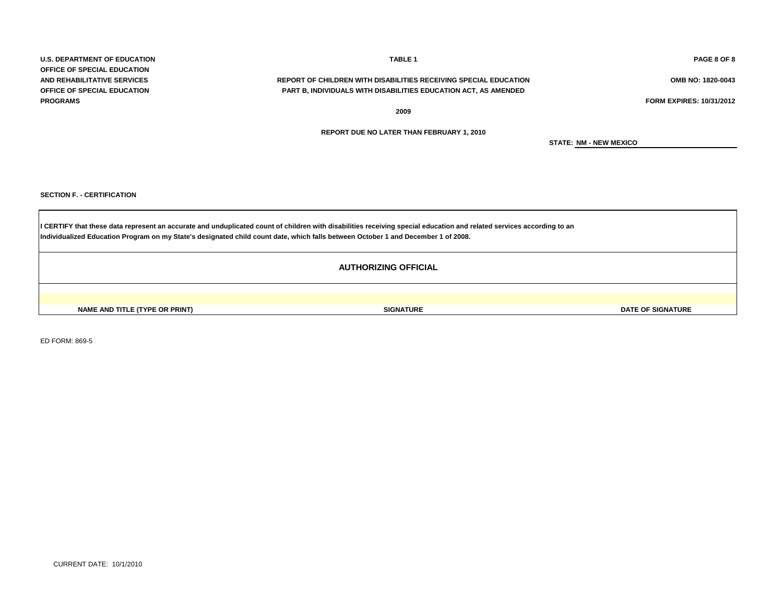**U.S. DEPARTMENT OF EDUCATION TABLE 1 PAGE 8 OF 8 OFFICE OF SPECIAL EDUCATION PROGRAMS FORM EXPIRES: 10/31/2012**

# **AND REHABILITATIVE SERVICES REPORT OF CHILDREN WITH DISABILITIES RECEIVING SPECIAL EDUCATION OMB NO: 1820-0043 OFFICE OF SPECIAL EDUCATION PART B, INDIVIDUALS WITH DISABILITIES EDUCATION ACT, AS AMENDED**

**2009**

**STATE: NM - NEW MEXICO**

**SECTION F. - CERTIFICATION**

**Individualized Education Program on my State's designated child count date, which falls between October 1 and December 1 of 2008.** I CERTIFY that these data represent an accurate and unduplicated count of children with disabilities receiving special education and related services according to an

ED FORM: 869-5

# **REPORT DUE NO LATER THAN FEBRUARY 1, 2010**

**NAME AND TITLE (TYPE OR PRINT) SIGNATURE DATE OF SIGNATURE AUTHORIZING OFFICIAL**